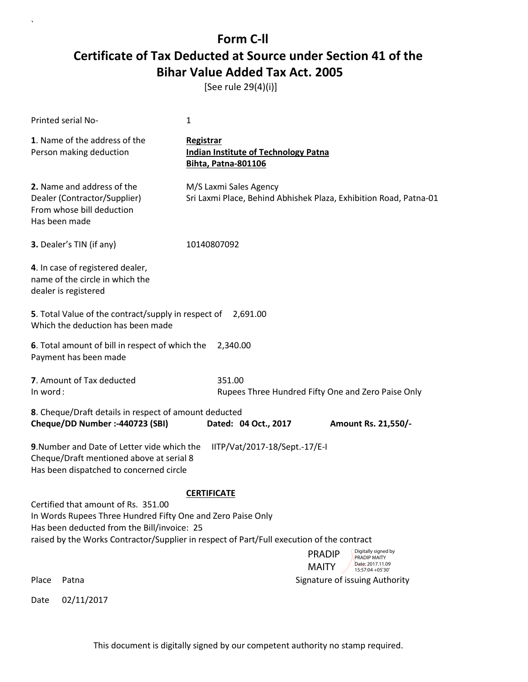[See rule 29(4)(i)]

|          | <b>Printed serial No-</b>                                                                                                                         | 1                                                                                                                                                                                           |  |
|----------|---------------------------------------------------------------------------------------------------------------------------------------------------|---------------------------------------------------------------------------------------------------------------------------------------------------------------------------------------------|--|
|          | 1. Name of the address of the<br>Person making deduction                                                                                          | Registrar<br><b>Indian Institute of Technology Patna</b><br><b>Bihta, Patna-801106</b>                                                                                                      |  |
|          | 2. Name and address of the<br>Dealer (Contractor/Supplier)<br>From whose bill deduction<br>Has been made                                          | M/S Laxmi Sales Agency<br>Sri Laxmi Place, Behind Abhishek Plaza, Exhibition Road, Patna-01                                                                                                 |  |
|          | 3. Dealer's TIN (if any)                                                                                                                          | 10140807092                                                                                                                                                                                 |  |
|          | 4. In case of registered dealer,<br>name of the circle in which the<br>dealer is registered                                                       |                                                                                                                                                                                             |  |
|          | 5. Total Value of the contract/supply in respect of 2,691.00<br>Which the deduction has been made                                                 |                                                                                                                                                                                             |  |
|          | 6. Total amount of bill in respect of which the<br>Payment has been made                                                                          | 2,340.00                                                                                                                                                                                    |  |
| In word: | 7. Amount of Tax deducted                                                                                                                         | 351.00<br>Rupees Three Hundred Fifty One and Zero Paise Only                                                                                                                                |  |
|          | 8. Cheque/Draft details in respect of amount deducted<br>Cheque/DD Number :- 440723 (SBI)                                                         | Dated: 04 Oct., 2017<br>Amount Rs. 21,550/-                                                                                                                                                 |  |
|          | 9. Number and Date of Letter vide which the<br>Cheque/Draft mentioned above at serial 8<br>Has been dispatched to concerned circle                | IITP/Vat/2017-18/Sept.-17/E-I                                                                                                                                                               |  |
|          | Certified that amount of Rs. 351.00<br>In Words Rupees Three Hundred Fifty One and Zero Paise Only<br>Has been deducted from the Bill/invoice: 25 | <b>CERTIFICATE</b><br>raised by the Works Contractor/Supplier in respect of Part/Full execution of the contract<br>Digitally signed by<br><b>PRADIP</b><br>PRADIP MAITY<br>Date: 2017.11.09 |  |
| Place    | Patna                                                                                                                                             | <b>MAITY</b><br>15:57:04 +05'30'<br>Signature of issuing Authority                                                                                                                          |  |
| Date     | 02/11/2017                                                                                                                                        |                                                                                                                                                                                             |  |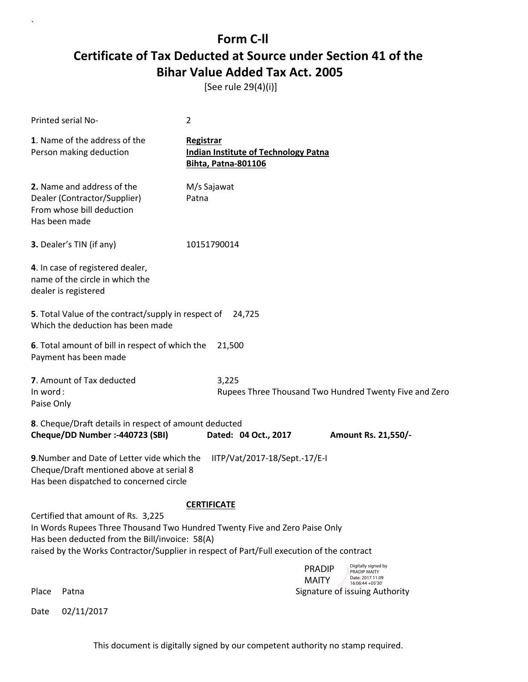[See rule 29(4)(i)]

| <b>Printed serial No-</b>                                                                                                                                           | $\overline{2}$                                                                                                                                                          |  |  |  |
|---------------------------------------------------------------------------------------------------------------------------------------------------------------------|-------------------------------------------------------------------------------------------------------------------------------------------------------------------------|--|--|--|
| 1. Name of the address of the<br>Person making deduction                                                                                                            | Registrar<br><b>Indian Institute of Technology Patna</b><br>Bihta, Patna-801106                                                                                         |  |  |  |
| 2. Name and address of the<br>Dealer (Contractor/Supplier)<br>From whose bill deduction<br>Has been made                                                            | M/s Sajawat<br>Patna                                                                                                                                                    |  |  |  |
| 3. Dealer's TIN (if any)                                                                                                                                            | 10151790014                                                                                                                                                             |  |  |  |
| 4. In case of registered dealer,<br>name of the circle in which the<br>dealer is registered                                                                         |                                                                                                                                                                         |  |  |  |
| 5. Total Value of the contract/supply in respect of<br>Which the deduction has been made                                                                            | 24,725                                                                                                                                                                  |  |  |  |
| 6. Total amount of bill in respect of which the<br>21,500<br>Payment has been made                                                                                  |                                                                                                                                                                         |  |  |  |
| 7. Amount of Tax deducted<br>In word:<br>Paise Only                                                                                                                 | 3,225<br>Rupees Three Thousand Two Hundred Twenty Five and Zero                                                                                                         |  |  |  |
| 8. Cheque/Draft details in respect of amount deducted<br>Cheque/DD Number :- 440723 (SBI)                                                                           | Dated: 04 Oct., 2017<br>Amount Rs. 21,550/-                                                                                                                             |  |  |  |
| 9. Number and Date of Letter vide which the<br>IITP/Vat/2017-18/Sept.-17/E-I<br>Cheque/Draft mentioned above at serial 8<br>Has been dispatched to concerned circle |                                                                                                                                                                         |  |  |  |
|                                                                                                                                                                     | <b>CERTIFICATE</b>                                                                                                                                                      |  |  |  |
| Certified that amount of Rs. 3,225<br>Has been deducted from the Bill/invoice: 58(A)                                                                                | In Words Rupees Three Thousand Two Hundred Twenty Five and Zero Paise Only<br>raised by the Works Contractor/Supplier in respect of Part/Full execution of the contract |  |  |  |
|                                                                                                                                                                     | Digitally signed by<br><b>PRADIP</b><br>PRADIP MAITY<br>Date: 2017.11.09<br><b>MAITY</b>                                                                                |  |  |  |
| Patna<br>Place                                                                                                                                                      | 16:06:44 +05'30'<br>Signature of issuing Authority                                                                                                                      |  |  |  |

Date 02/11/2017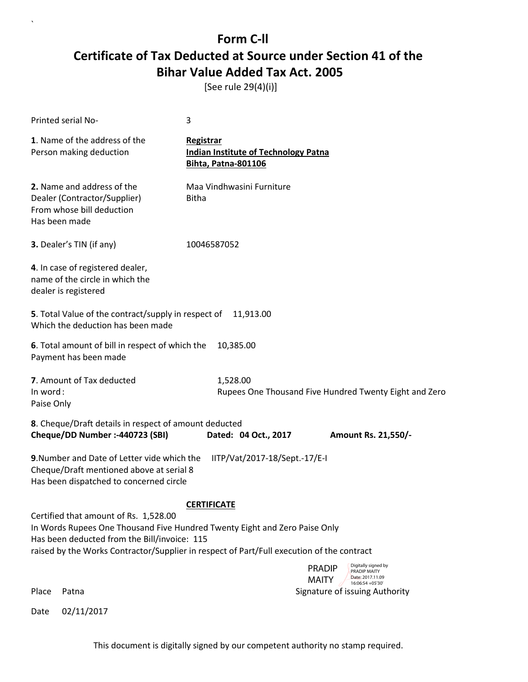[See rule 29(4)(i)]

| <b>Printed serial No-</b>                                                                                                                                                                                                                                        | 3                                                                                             |                                                                                                                                                |  |  |  |
|------------------------------------------------------------------------------------------------------------------------------------------------------------------------------------------------------------------------------------------------------------------|-----------------------------------------------------------------------------------------------|------------------------------------------------------------------------------------------------------------------------------------------------|--|--|--|
| 1. Name of the address of the<br>Person making deduction                                                                                                                                                                                                         | <b>Registrar</b><br><b>Indian Institute of Technology Patna</b><br><b>Bihta, Patna-801106</b> |                                                                                                                                                |  |  |  |
| 2. Name and address of the<br>Dealer (Contractor/Supplier)<br>From whose bill deduction<br>Has been made                                                                                                                                                         | Maa Vindhwasini Furniture<br><b>Bitha</b>                                                     |                                                                                                                                                |  |  |  |
| 3. Dealer's TIN (if any)                                                                                                                                                                                                                                         | 10046587052                                                                                   |                                                                                                                                                |  |  |  |
| 4. In case of registered dealer,<br>name of the circle in which the<br>dealer is registered                                                                                                                                                                      |                                                                                               |                                                                                                                                                |  |  |  |
| 5. Total Value of the contract/supply in respect of<br>Which the deduction has been made                                                                                                                                                                         | 11,913.00                                                                                     |                                                                                                                                                |  |  |  |
| Payment has been made                                                                                                                                                                                                                                            | 6. Total amount of bill in respect of which the<br>10,385.00                                  |                                                                                                                                                |  |  |  |
| 7. Amount of Tax deducted<br>1,528.00<br>In word:<br>Rupees One Thousand Five Hundred Twenty Eight and Zero<br>Paise Only                                                                                                                                        |                                                                                               |                                                                                                                                                |  |  |  |
| 8. Cheque/Draft details in respect of amount deducted<br>Cheque/DD Number :- 440723 (SBI)                                                                                                                                                                        | Dated: 04 Oct., 2017                                                                          | Amount Rs. 21,550/-                                                                                                                            |  |  |  |
| 9. Number and Date of Letter vide which the<br>IITP/Vat/2017-18/Sept.-17/E-I<br>Cheque/Draft mentioned above at serial 8<br>Has been dispatched to concerned circle                                                                                              |                                                                                               |                                                                                                                                                |  |  |  |
| <b>CERTIFICATE</b>                                                                                                                                                                                                                                               |                                                                                               |                                                                                                                                                |  |  |  |
| Certified that amount of Rs. 1,528.00<br>In Words Rupees One Thousand Five Hundred Twenty Eight and Zero Paise Only<br>Has been deducted from the Bill/invoice: 115<br>raised by the Works Contractor/Supplier in respect of Part/Full execution of the contract |                                                                                               |                                                                                                                                                |  |  |  |
| Place<br>Patna                                                                                                                                                                                                                                                   |                                                                                               | Digitally signed by<br><b>PRADIP</b><br>PRADIP MAITY<br>Date: 2017.11.09<br><b>MAITY</b><br>16:06:54 +05'30'<br>Signature of issuing Authority |  |  |  |

Date 02/11/2017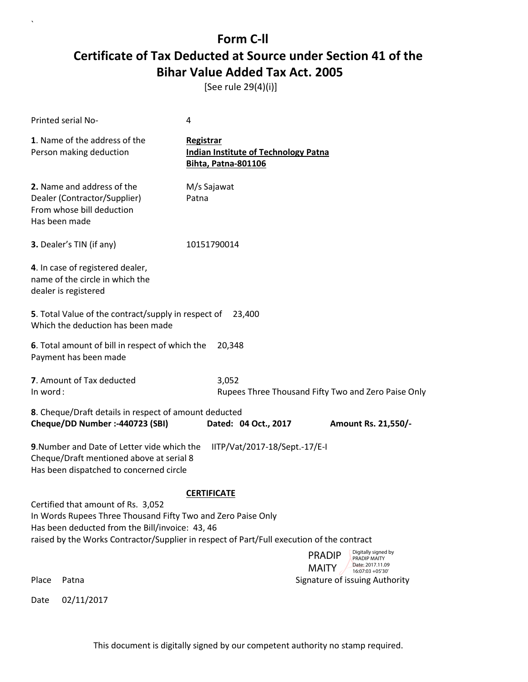[See rule 29(4)(i)]

| <b>Printed serial No-</b>                                                                                                                                                                                                                          | 4                                                                                      |                                                                                           |  |  |
|----------------------------------------------------------------------------------------------------------------------------------------------------------------------------------------------------------------------------------------------------|----------------------------------------------------------------------------------------|-------------------------------------------------------------------------------------------|--|--|
| 1. Name of the address of the<br>Person making deduction                                                                                                                                                                                           | Registrar<br><b>Indian Institute of Technology Patna</b><br><b>Bihta, Patna-801106</b> |                                                                                           |  |  |
| 2. Name and address of the<br>Dealer (Contractor/Supplier)<br>From whose bill deduction<br>Has been made                                                                                                                                           | M/s Sajawat<br>Patna                                                                   |                                                                                           |  |  |
| 3. Dealer's TIN (if any)                                                                                                                                                                                                                           | 10151790014                                                                            |                                                                                           |  |  |
| 4. In case of registered dealer,<br>name of the circle in which the<br>dealer is registered                                                                                                                                                        |                                                                                        |                                                                                           |  |  |
| 5. Total Value of the contract/supply in respect of<br>Which the deduction has been made                                                                                                                                                           | 23,400                                                                                 |                                                                                           |  |  |
| 6. Total amount of bill in respect of which the<br>Payment has been made                                                                                                                                                                           | 20,348                                                                                 |                                                                                           |  |  |
| 7. Amount of Tax deducted<br>3,052<br>In word:<br>Rupees Three Thousand Fifty Two and Zero Paise Only                                                                                                                                              |                                                                                        |                                                                                           |  |  |
| 8. Cheque/Draft details in respect of amount deducted                                                                                                                                                                                              |                                                                                        |                                                                                           |  |  |
| Cheque/DD Number :- 440723 (SBI)                                                                                                                                                                                                                   | Dated: 04 Oct., 2017                                                                   | Amount Rs. 21,550/-                                                                       |  |  |
| 9. Number and Date of Letter vide which the<br>IITP/Vat/2017-18/Sept.-17/E-I<br>Cheque/Draft mentioned above at serial 8<br>Has been dispatched to concerned circle                                                                                |                                                                                        |                                                                                           |  |  |
| <b>CERTIFICATE</b>                                                                                                                                                                                                                                 |                                                                                        |                                                                                           |  |  |
| Certified that amount of Rs. 3,052<br>In Words Rupees Three Thousand Fifty Two and Zero Paise Only<br>Has been deducted from the Bill/invoice: 43, 46<br>raised by the Works Contractor/Supplier in respect of Part/Full execution of the contract |                                                                                        |                                                                                           |  |  |
|                                                                                                                                                                                                                                                    |                                                                                        | Digitally signed by<br><b>PRADIP</b><br><b>PRADIP MAITY</b>                               |  |  |
| Place<br>Patna                                                                                                                                                                                                                                     |                                                                                        | Date: 2017.11.09<br><b>MAITY</b><br>$16:07:03 + 05'30'$<br>Signature of issuing Authority |  |  |
| 02/11/2017<br>Date                                                                                                                                                                                                                                 |                                                                                        |                                                                                           |  |  |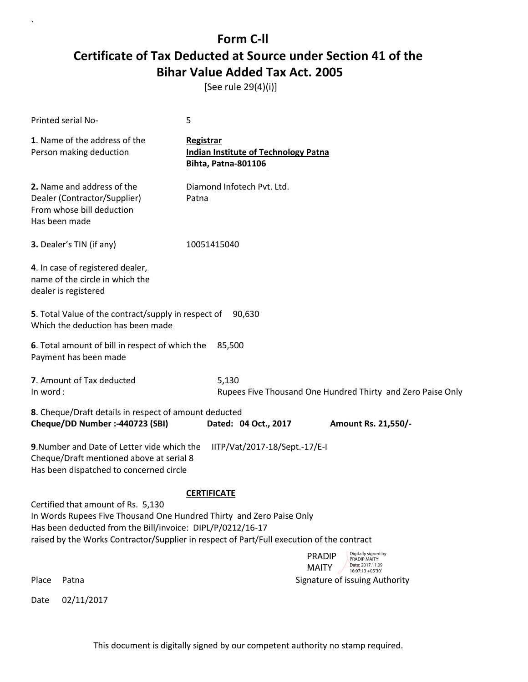[See rule 29(4)(i)]

| Printed serial No-                                                                                                                                                                                                                                                    | 5                                                                                        |  |  |  |
|-----------------------------------------------------------------------------------------------------------------------------------------------------------------------------------------------------------------------------------------------------------------------|------------------------------------------------------------------------------------------|--|--|--|
| 1. Name of the address of the<br>Person making deduction                                                                                                                                                                                                              | <b>Registrar</b><br><b>Indian Institute of Technology Patna</b><br>Bihta, Patna-801106   |  |  |  |
| 2. Name and address of the<br>Dealer (Contractor/Supplier)<br>From whose bill deduction<br>Has been made                                                                                                                                                              | Diamond Infotech Pvt. Ltd.<br>Patna                                                      |  |  |  |
| 3. Dealer's TIN (if any)                                                                                                                                                                                                                                              | 10051415040                                                                              |  |  |  |
| 4. In case of registered dealer,<br>name of the circle in which the<br>dealer is registered                                                                                                                                                                           |                                                                                          |  |  |  |
| 5. Total Value of the contract/supply in respect of<br>Which the deduction has been made                                                                                                                                                                              | 90,630                                                                                   |  |  |  |
| 6. Total amount of bill in respect of which the<br>Payment has been made                                                                                                                                                                                              | 85,500                                                                                   |  |  |  |
| 7. Amount of Tax deducted<br>In word:                                                                                                                                                                                                                                 | 5,130<br>Rupees Five Thousand One Hundred Thirty and Zero Paise Only                     |  |  |  |
| 8. Cheque/Draft details in respect of amount deducted<br>Cheque/DD Number :- 440723 (SBI)                                                                                                                                                                             | Dated: 04 Oct., 2017<br>Amount Rs. 21,550/-                                              |  |  |  |
| IITP/Vat/2017-18/Sept.-17/E-I<br>9. Number and Date of Letter vide which the<br>Cheque/Draft mentioned above at serial 8<br>Has been dispatched to concerned circle                                                                                                   |                                                                                          |  |  |  |
| <b>CERTIFICATE</b>                                                                                                                                                                                                                                                    |                                                                                          |  |  |  |
| Certified that amount of Rs. 5,130<br>In Words Rupees Five Thousand One Hundred Thirty and Zero Paise Only<br>Has been deducted from the Bill/invoice: DIPL/P/0212/16-17<br>raised by the Works Contractor/Supplier in respect of Part/Full execution of the contract |                                                                                          |  |  |  |
|                                                                                                                                                                                                                                                                       | Digitally signed by<br><b>PRADIP</b><br>PRADIP MAITY<br>Date: 2017.11.09<br><b>MAITY</b> |  |  |  |
| Place<br>Patna                                                                                                                                                                                                                                                        | $16:07:13 + 05'30'$<br>Signature of issuing Authority                                    |  |  |  |
| 02/11/2017<br>Date                                                                                                                                                                                                                                                    |                                                                                          |  |  |  |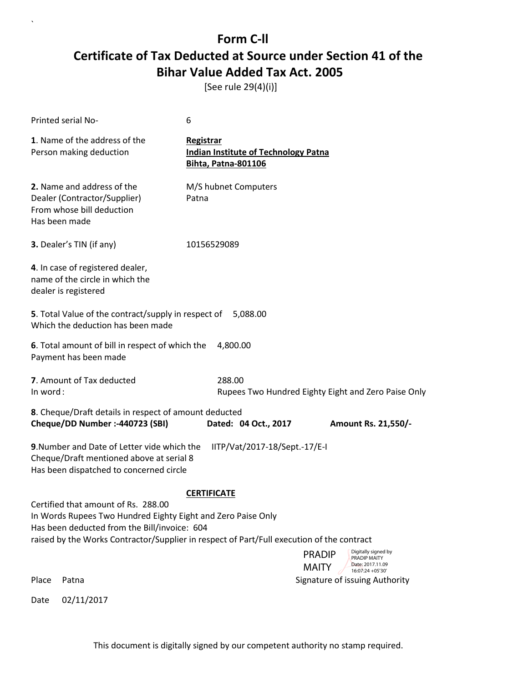[See rule 29(4)(i)]

| Printed serial No-                                                                                                                                                                                                                               | 6                                                                                             |  |  |  |
|--------------------------------------------------------------------------------------------------------------------------------------------------------------------------------------------------------------------------------------------------|-----------------------------------------------------------------------------------------------|--|--|--|
| 1. Name of the address of the<br>Person making deduction                                                                                                                                                                                         | <b>Registrar</b><br><b>Indian Institute of Technology Patna</b><br><b>Bihta, Patna-801106</b> |  |  |  |
| 2. Name and address of the<br>Dealer (Contractor/Supplier)<br>From whose bill deduction<br>Has been made                                                                                                                                         | M/S hubnet Computers<br>Patna                                                                 |  |  |  |
| 3. Dealer's TIN (if any)                                                                                                                                                                                                                         | 10156529089                                                                                   |  |  |  |
| 4. In case of registered dealer,<br>name of the circle in which the<br>dealer is registered                                                                                                                                                      |                                                                                               |  |  |  |
| 5. Total Value of the contract/supply in respect of<br>Which the deduction has been made                                                                                                                                                         | 5,088.00                                                                                      |  |  |  |
| 6. Total amount of bill in respect of which the<br>Payment has been made                                                                                                                                                                         | 4,800.00                                                                                      |  |  |  |
| 7. Amount of Tax deducted<br>288.00<br>In word:<br>Rupees Two Hundred Eighty Eight and Zero Paise Only                                                                                                                                           |                                                                                               |  |  |  |
| 8. Cheque/Draft details in respect of amount deducted<br>Cheque/DD Number :- 440723 (SBI)                                                                                                                                                        | Dated: 04 Oct., 2017<br>Amount Rs. 21,550/-                                                   |  |  |  |
| 9. Number and Date of Letter vide which the<br>IITP/Vat/2017-18/Sept.-17/E-I<br>Cheque/Draft mentioned above at serial 8<br>Has been dispatched to concerned circle                                                                              |                                                                                               |  |  |  |
| <b>CERTIFICATE</b>                                                                                                                                                                                                                               |                                                                                               |  |  |  |
| Certified that amount of Rs. 288.00<br>In Words Rupees Two Hundred Eighty Eight and Zero Paise Only<br>Has been deducted from the Bill/invoice: 604<br>raised by the Works Contractor/Supplier in respect of Part/Full execution of the contract |                                                                                               |  |  |  |
|                                                                                                                                                                                                                                                  | Digitally signed by<br><b>PRADIP</b><br><b>PRADIP MAITY</b><br>Date: 2017.11.09               |  |  |  |
| Place<br>Patna                                                                                                                                                                                                                                   | <b>MAITY</b><br>16:07:24 + 05'30'<br>Signature of issuing Authority                           |  |  |  |
| 02/11/2017<br>Date                                                                                                                                                                                                                               |                                                                                               |  |  |  |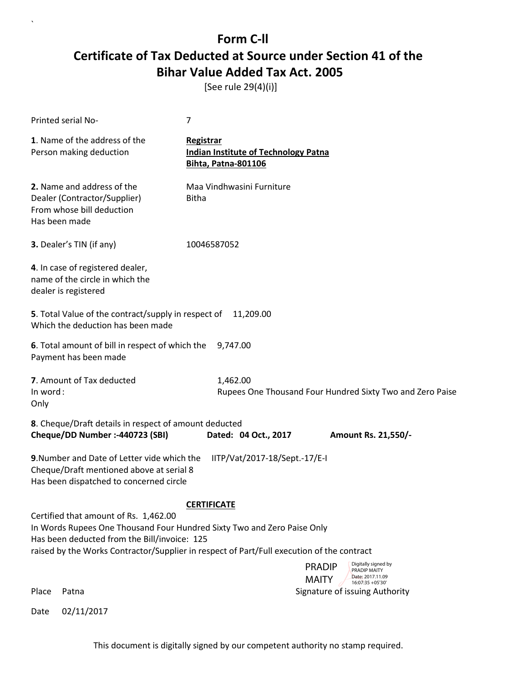[See rule 29(4)(i)]

| Printed serial No-                                                                                                                                                  | 7                                                                                      |                                                                             |  |  |
|---------------------------------------------------------------------------------------------------------------------------------------------------------------------|----------------------------------------------------------------------------------------|-----------------------------------------------------------------------------|--|--|
| 1. Name of the address of the<br>Person making deduction                                                                                                            | Registrar<br><b>Indian Institute of Technology Patna</b><br><b>Bihta, Patna-801106</b> |                                                                             |  |  |
| 2. Name and address of the<br>Dealer (Contractor/Supplier)<br>From whose bill deduction<br>Has been made                                                            | Maa Vindhwasini Furniture<br><b>Bitha</b>                                              |                                                                             |  |  |
| 3. Dealer's TIN (if any)                                                                                                                                            | 10046587052                                                                            |                                                                             |  |  |
| 4. In case of registered dealer,<br>name of the circle in which the<br>dealer is registered                                                                         |                                                                                        |                                                                             |  |  |
| 5. Total Value of the contract/supply in respect of<br>Which the deduction has been made                                                                            | 11,209.00                                                                              |                                                                             |  |  |
| 6. Total amount of bill in respect of which the<br>Payment has been made                                                                                            | 9,747.00                                                                               |                                                                             |  |  |
| 7. Amount of Tax deducted<br>In word:<br>Only                                                                                                                       | 1,462.00                                                                               | Rupees One Thousand Four Hundred Sixty Two and Zero Paise                   |  |  |
| 8. Cheque/Draft details in respect of amount deducted<br>Cheque/DD Number :- 440723 (SBI)                                                                           | Dated: 04 Oct., 2017                                                                   | Amount Rs. 21,550/-                                                         |  |  |
| 9. Number and Date of Letter vide which the<br>IITP/Vat/2017-18/Sept.-17/E-I<br>Cheque/Draft mentioned above at serial 8<br>Has been dispatched to concerned circle |                                                                                        |                                                                             |  |  |
| <b>CERTIFICATE</b>                                                                                                                                                  |                                                                                        |                                                                             |  |  |
| Certified that amount of Rs. 1,462.00<br>In Words Rupees One Thousand Four Hundred Sixty Two and Zero Paise Only<br>Has been deducted from the Bill/invoice: 125    |                                                                                        |                                                                             |  |  |
| raised by the Works Contractor/Supplier in respect of Part/Full execution of the contract                                                                           |                                                                                        | Digitally signed by<br><b>PRADIP</b>                                        |  |  |
|                                                                                                                                                                     |                                                                                        | <b>PRADIP MAITY</b><br>Date: 2017.11.09<br><b>MAITY</b><br>16:07:35 +05'30' |  |  |
| Place<br>Patna                                                                                                                                                      |                                                                                        | Signature of issuing Authority                                              |  |  |

Date 02/11/2017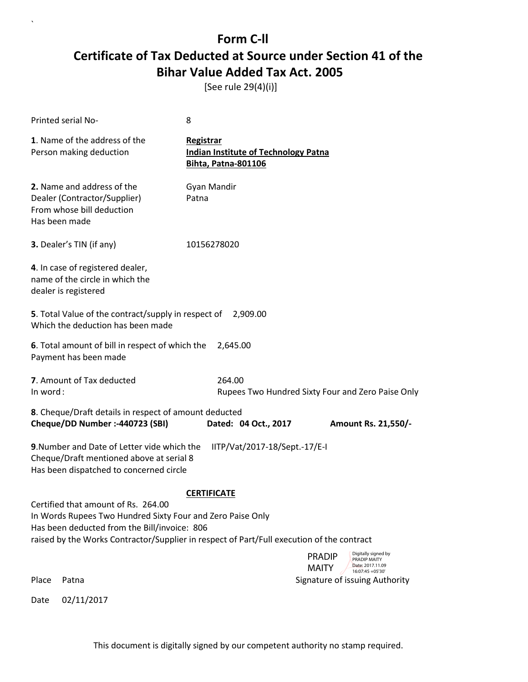[See rule 29(4)(i)]

|                                                                                           | <b>Printed serial No-</b>                                                                                                                                                                                                                      | 8                                       |                                             |                                                                                                              |  |
|-------------------------------------------------------------------------------------------|------------------------------------------------------------------------------------------------------------------------------------------------------------------------------------------------------------------------------------------------|-----------------------------------------|---------------------------------------------|--------------------------------------------------------------------------------------------------------------|--|
|                                                                                           | 1. Name of the address of the<br>Person making deduction                                                                                                                                                                                       | Registrar<br><b>Bihta, Patna-801106</b> | <b>Indian Institute of Technology Patna</b> |                                                                                                              |  |
|                                                                                           | 2. Name and address of the<br>Dealer (Contractor/Supplier)<br>From whose bill deduction<br>Has been made                                                                                                                                       | Gyan Mandir<br>Patna                    |                                             |                                                                                                              |  |
|                                                                                           | 3. Dealer's TIN (if any)                                                                                                                                                                                                                       | 10156278020                             |                                             |                                                                                                              |  |
|                                                                                           | 4. In case of registered dealer,<br>name of the circle in which the<br>dealer is registered                                                                                                                                                    |                                         |                                             |                                                                                                              |  |
|                                                                                           | 5. Total Value of the contract/supply in respect of<br>Which the deduction has been made                                                                                                                                                       |                                         | 2,909.00                                    |                                                                                                              |  |
|                                                                                           | 6. Total amount of bill in respect of which the<br>2,645.00<br>Payment has been made                                                                                                                                                           |                                         |                                             |                                                                                                              |  |
| In word:                                                                                  | 7. Amount of Tax deducted                                                                                                                                                                                                                      |                                         | 264.00                                      | Rupees Two Hundred Sixty Four and Zero Paise Only                                                            |  |
| 8. Cheque/Draft details in respect of amount deducted<br>Cheque/DD Number :- 440723 (SBI) |                                                                                                                                                                                                                                                |                                         | Dated: 04 Oct., 2017                        | Amount Rs. 21,550/-                                                                                          |  |
|                                                                                           | 9. Number and Date of Letter vide which the<br>Cheque/Draft mentioned above at serial 8<br>Has been dispatched to concerned circle                                                                                                             |                                         | IITP/Vat/2017-18/Sept.-17/E-I               |                                                                                                              |  |
|                                                                                           | Certified that amount of Rs. 264.00<br>In Words Rupees Two Hundred Sixty Four and Zero Paise Only<br>Has been deducted from the Bill/invoice: 806<br>raised by the Works Contractor/Supplier in respect of Part/Full execution of the contract | <b>CERTIFICATE</b>                      |                                             |                                                                                                              |  |
|                                                                                           |                                                                                                                                                                                                                                                |                                         |                                             | Digitally signed by<br><b>PRADIP</b><br>PRADIP MAITY<br>Date: 2017.11.09<br><b>MAITY</b><br>16:07:45 +05'30' |  |
| Place                                                                                     | Patna                                                                                                                                                                                                                                          |                                         |                                             | Signature of issuing Authority                                                                               |  |
| Date                                                                                      | 02/11/2017                                                                                                                                                                                                                                     |                                         |                                             |                                                                                                              |  |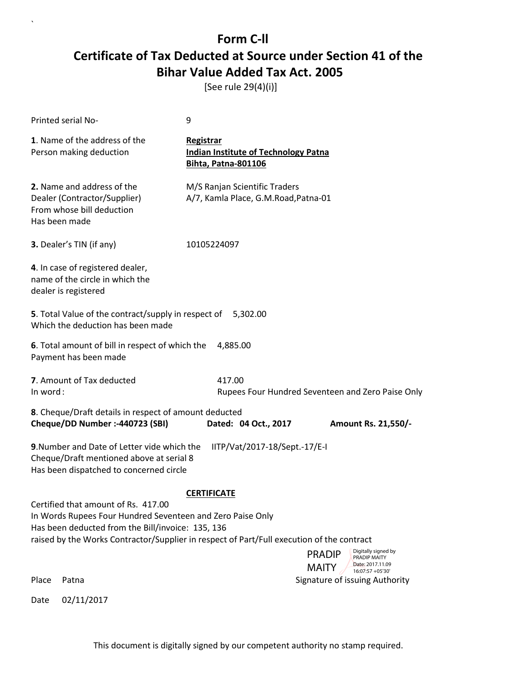[See rule 29(4)(i)]

|                    | Printed serial No-                                                                                                                                                                                                                                  | 9                                                                                             |                                                                          |  |
|--------------------|-----------------------------------------------------------------------------------------------------------------------------------------------------------------------------------------------------------------------------------------------------|-----------------------------------------------------------------------------------------------|--------------------------------------------------------------------------|--|
|                    | 1. Name of the address of the<br>Person making deduction                                                                                                                                                                                            | <b>Registrar</b><br><b>Indian Institute of Technology Patna</b><br><b>Bihta, Patna-801106</b> |                                                                          |  |
|                    | 2. Name and address of the<br>Dealer (Contractor/Supplier)<br>From whose bill deduction<br>Has been made                                                                                                                                            | M/S Ranjan Scientific Traders<br>A/7, Kamla Place, G.M.Road, Patna-01                         |                                                                          |  |
|                    | 3. Dealer's TIN (if any)                                                                                                                                                                                                                            | 10105224097                                                                                   |                                                                          |  |
|                    | 4. In case of registered dealer,<br>name of the circle in which the<br>dealer is registered                                                                                                                                                         |                                                                                               |                                                                          |  |
|                    | 5. Total Value of the contract/supply in respect of 5,302.00<br>Which the deduction has been made                                                                                                                                                   |                                                                                               |                                                                          |  |
|                    | 6. Total amount of bill in respect of which the<br>Payment has been made                                                                                                                                                                            | 4,885.00                                                                                      |                                                                          |  |
| In word:           | 7. Amount of Tax deducted                                                                                                                                                                                                                           | 417.00                                                                                        | Rupees Four Hundred Seventeen and Zero Paise Only                        |  |
|                    | 8. Cheque/Draft details in respect of amount deducted<br>Cheque/DD Number :- 440723 (SBI)                                                                                                                                                           | Dated: 04 Oct., 2017                                                                          | Amount Rs. 21,550/-                                                      |  |
|                    |                                                                                                                                                                                                                                                     |                                                                                               |                                                                          |  |
|                    | 9. Number and Date of Letter vide which the<br>Cheque/Draft mentioned above at serial 8<br>Has been dispatched to concerned circle                                                                                                                  | IITP/Vat/2017-18/Sept.-17/E-I                                                                 |                                                                          |  |
| <b>CERTIFICATE</b> |                                                                                                                                                                                                                                                     |                                                                                               |                                                                          |  |
|                    | Certified that amount of Rs. 417.00<br>In Words Rupees Four Hundred Seventeen and Zero Paise Only<br>Has been deducted from the Bill/invoice: 135, 136<br>raised by the Works Contractor/Supplier in respect of Part/Full execution of the contract |                                                                                               |                                                                          |  |
|                    |                                                                                                                                                                                                                                                     |                                                                                               | Digitally signed by<br><b>PRADIP</b><br>PRADIP MAITY<br>Date: 2017.11.09 |  |
| Place              | Patna                                                                                                                                                                                                                                               |                                                                                               | <b>MAITY</b><br>16:07:57 +05'30'<br>Signature of issuing Authority       |  |
| Date               | 02/11/2017                                                                                                                                                                                                                                          |                                                                                               |                                                                          |  |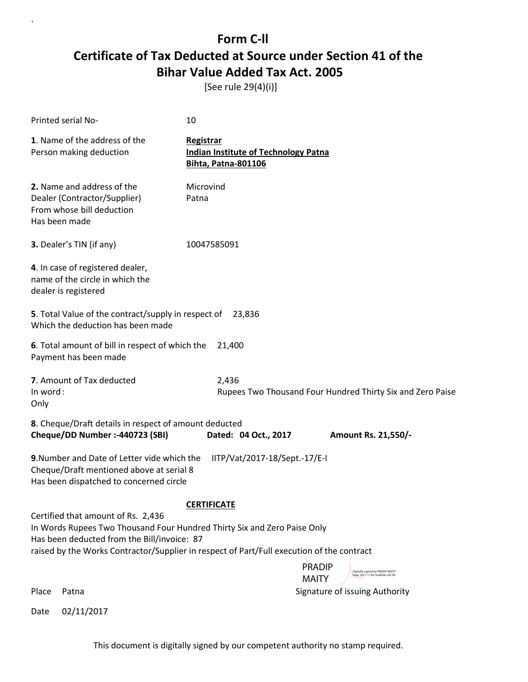[See rule 29(4)(i)]

 $\ddot{\phantom{0}}$ 

| Printed serial No-                                                                                                                                                                                                                                         | 10                                                                                                    |  |  |  |
|------------------------------------------------------------------------------------------------------------------------------------------------------------------------------------------------------------------------------------------------------------|-------------------------------------------------------------------------------------------------------|--|--|--|
| 1. Name of the address of the<br>Person making deduction                                                                                                                                                                                                   | <b>Registrar</b><br><b>Indian Institute of Technology Patna</b><br><b>Bihta, Patna-801106</b>         |  |  |  |
| 2. Name and address of the<br>Dealer (Contractor/Supplier)<br>From whose bill deduction<br>Has been made                                                                                                                                                   | Microvind<br>Patna                                                                                    |  |  |  |
| 3. Dealer's TIN (if any)                                                                                                                                                                                                                                   | 10047585091                                                                                           |  |  |  |
| 4. In case of registered dealer,<br>name of the circle in which the<br>dealer is registered                                                                                                                                                                |                                                                                                       |  |  |  |
| 5. Total Value of the contract/supply in respect of<br>Which the deduction has been made                                                                                                                                                                   | 23,836                                                                                                |  |  |  |
| 6. Total amount of bill in respect of which the<br>Payment has been made                                                                                                                                                                                   | 21,400                                                                                                |  |  |  |
| 7. Amount of Tax deducted<br>2,436<br>In word:<br>Rupees Two Thousand Four Hundred Thirty Six and Zero Paise<br>Only                                                                                                                                       |                                                                                                       |  |  |  |
| Cheque/DD Number :- 440723 (SBI)                                                                                                                                                                                                                           | 8. Cheque/Draft details in respect of amount deducted<br>Dated: 04 Oct., 2017<br>Amount Rs. 21,550/-  |  |  |  |
| 9. Number and Date of Letter vide which the<br>IITP/Vat/2017-18/Sept.-17/E-I<br>Cheque/Draft mentioned above at serial 8<br>Has been dispatched to concerned circle                                                                                        |                                                                                                       |  |  |  |
| <b>CERTIFICATE</b>                                                                                                                                                                                                                                         |                                                                                                       |  |  |  |
| Certified that amount of Rs. 2,436<br>In Words Rupees Two Thousand Four Hundred Thirty Six and Zero Paise Only<br>Has been deducted from the Bill/invoice: 87<br>raised by the Works Contractor/Supplier in respect of Part/Full execution of the contract |                                                                                                       |  |  |  |
|                                                                                                                                                                                                                                                            | <b>PRADIP</b><br>Digitally signed by PRADIP MAITY<br>Date: 2017.11.09 16:08:08 +05'30<br><b>MAITY</b> |  |  |  |
| Place<br>Patna                                                                                                                                                                                                                                             | Signature of issuing Authority                                                                        |  |  |  |
| 02/11/2017<br>Date                                                                                                                                                                                                                                         |                                                                                                       |  |  |  |

This document is digitally signed by our competent authority no stamp required.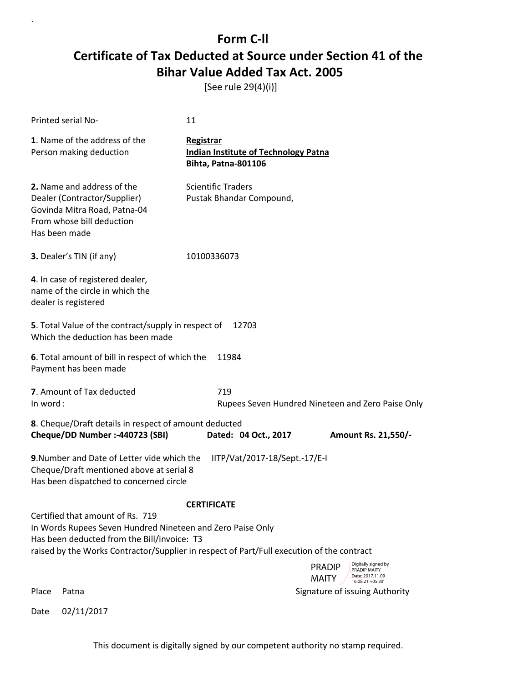[See rule 29(4)(i)]

| Printed serial No-                                                                                                                                                                                                                                               | 11                                                                                                           |  |  |  |  |
|------------------------------------------------------------------------------------------------------------------------------------------------------------------------------------------------------------------------------------------------------------------|--------------------------------------------------------------------------------------------------------------|--|--|--|--|
| 1. Name of the address of the<br>Person making deduction                                                                                                                                                                                                         | Registrar<br><b>Indian Institute of Technology Patna</b><br><b>Bihta, Patna-801106</b>                       |  |  |  |  |
| 2. Name and address of the<br>Dealer (Contractor/Supplier)<br>Govinda Mitra Road, Patna-04<br>From whose bill deduction<br>Has been made                                                                                                                         | <b>Scientific Traders</b><br>Pustak Bhandar Compound,                                                        |  |  |  |  |
| 3. Dealer's TIN (if any)                                                                                                                                                                                                                                         | 10100336073                                                                                                  |  |  |  |  |
| 4. In case of registered dealer,<br>name of the circle in which the<br>dealer is registered                                                                                                                                                                      |                                                                                                              |  |  |  |  |
| 5. Total Value of the contract/supply in respect of<br>Which the deduction has been made                                                                                                                                                                         | 12703                                                                                                        |  |  |  |  |
| Payment has been made                                                                                                                                                                                                                                            | 6. Total amount of bill in respect of which the<br>11984                                                     |  |  |  |  |
| 7. Amount of Tax deducted<br>In word:                                                                                                                                                                                                                            | 719<br>Rupees Seven Hundred Nineteen and Zero Paise Only                                                     |  |  |  |  |
| 8. Cheque/Draft details in respect of amount deducted<br>Cheque/DD Number :- 440723 (SBI)                                                                                                                                                                        | Dated: 04 Oct., 2017<br>Amount Rs. 21,550/-                                                                  |  |  |  |  |
| <b>9.</b> Number and Date of Letter vide which the<br>IITP/Vat/2017-18/Sept.-17/E-I<br>Cheque/Draft mentioned above at serial 8<br>Has been dispatched to concerned circle                                                                                       |                                                                                                              |  |  |  |  |
| <b>CERTIFICATE</b><br>Certified that amount of Rs. 719<br>In Words Rupees Seven Hundred Nineteen and Zero Paise Only<br>Has been deducted from the Bill/invoice: T3<br>raised by the Works Contractor/Supplier in respect of Part/Full execution of the contract |                                                                                                              |  |  |  |  |
|                                                                                                                                                                                                                                                                  | Digitally signed by<br><b>PRADIP</b><br>PRADIP MAITY<br>Date: 2017.11.09<br><b>MAITY</b><br>16:08:21 +05'30' |  |  |  |  |
| Place<br>Patna                                                                                                                                                                                                                                                   | Signature of issuing Authority                                                                               |  |  |  |  |
| 02/11/2017<br>Date                                                                                                                                                                                                                                               |                                                                                                              |  |  |  |  |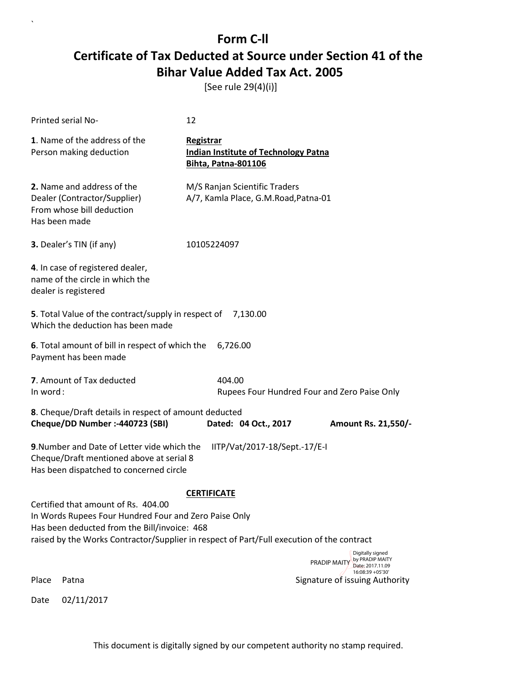[See rule 29(4)(i)]

|          | Printed serial No-                                                                                                                                                                                                                        | 12                                                                                     |                                                                                             |
|----------|-------------------------------------------------------------------------------------------------------------------------------------------------------------------------------------------------------------------------------------------|----------------------------------------------------------------------------------------|---------------------------------------------------------------------------------------------|
|          | 1. Name of the address of the<br>Person making deduction                                                                                                                                                                                  | Registrar<br><b>Indian Institute of Technology Patna</b><br><b>Bihta, Patna-801106</b> |                                                                                             |
|          | 2. Name and address of the<br>Dealer (Contractor/Supplier)<br>From whose bill deduction<br>Has been made                                                                                                                                  | M/S Ranjan Scientific Traders<br>A/7, Kamla Place, G.M.Road, Patna-01                  |                                                                                             |
|          | <b>3.</b> Dealer's TIN (if any)                                                                                                                                                                                                           | 10105224097                                                                            |                                                                                             |
|          | 4. In case of registered dealer,<br>name of the circle in which the<br>dealer is registered                                                                                                                                               |                                                                                        |                                                                                             |
|          | 5. Total Value of the contract/supply in respect of<br>Which the deduction has been made                                                                                                                                                  | 7,130.00                                                                               |                                                                                             |
|          | 6. Total amount of bill in respect of which the<br>Payment has been made                                                                                                                                                                  | 6,726.00                                                                               |                                                                                             |
| In word: | 7. Amount of Tax deducted                                                                                                                                                                                                                 | 404.00                                                                                 | Rupees Four Hundred Four and Zero Paise Only                                                |
|          | 8. Cheque/Draft details in respect of amount deducted<br>Cheque/DD Number :- 440723 (SBI)                                                                                                                                                 | Dated: 04 Oct., 2017                                                                   | Amount Rs. 21,550/-                                                                         |
|          | 9. Number and Date of Letter vide which the<br>Cheque/Draft mentioned above at serial 8<br>Has been dispatched to concerned circle                                                                                                        | IITP/Vat/2017-18/Sept.-17/E-I                                                          |                                                                                             |
|          | Certified that amount of Rs. 404.00<br>In Words Rupees Four Hundred Four and Zero Paise Only<br>Has been deducted from the Bill/invoice: 468<br>raised by the Works Contractor/Supplier in respect of Part/Full execution of the contract | <b>CERTIFICATE</b>                                                                     |                                                                                             |
|          |                                                                                                                                                                                                                                           |                                                                                        | Digitally signed<br>by PRADIP MAITY<br>PRADIP MAITY<br>Date: 2017.11.09<br>16:08:39 +05'30' |
| Place    | Patna                                                                                                                                                                                                                                     |                                                                                        | Signature of issuing Authority                                                              |
| Date     | 02/11/2017                                                                                                                                                                                                                                |                                                                                        |                                                                                             |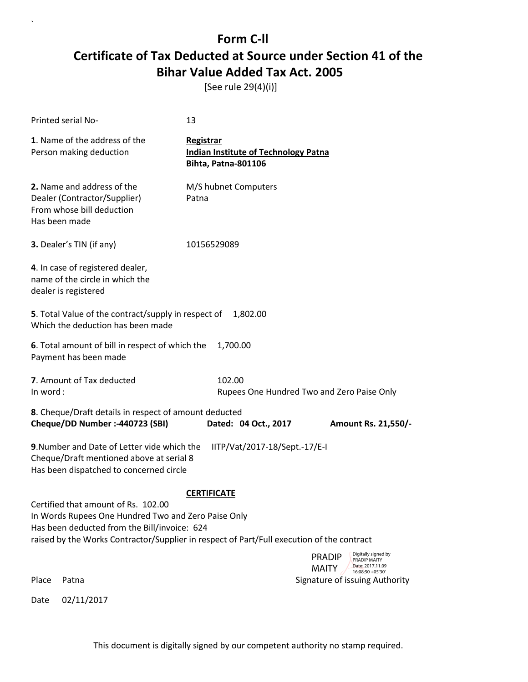[See rule 29(4)(i)]

 $\ddot{\phantom{0}}$ 

|                                                          | Printed serial No-                                                                                                                                                                                                                      | 13                                                                                     |                                                      |                               |                                                                             |
|----------------------------------------------------------|-----------------------------------------------------------------------------------------------------------------------------------------------------------------------------------------------------------------------------------------|----------------------------------------------------------------------------------------|------------------------------------------------------|-------------------------------|-----------------------------------------------------------------------------|
| 1. Name of the address of the<br>Person making deduction |                                                                                                                                                                                                                                         | Registrar<br><b>Indian Institute of Technology Patna</b><br><b>Bihta, Patna-801106</b> |                                                      |                               |                                                                             |
|                                                          | 2. Name and address of the<br>Dealer (Contractor/Supplier)<br>From whose bill deduction<br>Has been made                                                                                                                                | Patna                                                                                  | M/S hubnet Computers                                 |                               |                                                                             |
|                                                          | <b>3.</b> Dealer's TIN (if any)                                                                                                                                                                                                         | 10156529089                                                                            |                                                      |                               |                                                                             |
|                                                          | 4. In case of registered dealer,<br>name of the circle in which the<br>dealer is registered                                                                                                                                             |                                                                                        |                                                      |                               |                                                                             |
|                                                          | 5. Total Value of the contract/supply in respect of<br>Which the deduction has been made                                                                                                                                                |                                                                                        | 1,802.00                                             |                               |                                                                             |
|                                                          | 6. Total amount of bill in respect of which the<br>Payment has been made                                                                                                                                                                |                                                                                        | 1,700.00                                             |                               |                                                                             |
| In word:                                                 | 7. Amount of Tax deducted                                                                                                                                                                                                               |                                                                                        | 102.00<br>Rupees One Hundred Two and Zero Paise Only |                               |                                                                             |
|                                                          | 8. Cheque/Draft details in respect of amount deducted<br>Cheque/DD Number :- 440723 (SBI)                                                                                                                                               |                                                                                        | Dated: 04 Oct., 2017                                 |                               | Amount Rs. 21,550/-                                                         |
|                                                          | 9. Number and Date of Letter vide which the<br>Cheque/Draft mentioned above at serial 8<br>Has been dispatched to concerned circle                                                                                                      |                                                                                        | IITP/Vat/2017-18/Sept.-17/E-I                        |                               |                                                                             |
|                                                          |                                                                                                                                                                                                                                         | <b>CERTIFICATE</b>                                                                     |                                                      |                               |                                                                             |
|                                                          | Certified that amount of Rs. 102.00<br>In Words Rupees One Hundred Two and Zero Paise Only<br>Has been deducted from the Bill/invoice: 624<br>raised by the Works Contractor/Supplier in respect of Part/Full execution of the contract |                                                                                        |                                                      |                               |                                                                             |
|                                                          |                                                                                                                                                                                                                                         |                                                                                        |                                                      | <b>PRADIP</b><br><b>MAITY</b> | Digitally signed by<br>PRADIP MAITY<br>Date: 2017.11.09<br>16:08:50 +05'30' |
| Place                                                    | Patna                                                                                                                                                                                                                                   |                                                                                        |                                                      |                               | Signature of issuing Authority                                              |
| Date                                                     | 02/11/2017                                                                                                                                                                                                                              |                                                                                        |                                                      |                               |                                                                             |

This document is digitally signed by our competent authority no stamp required.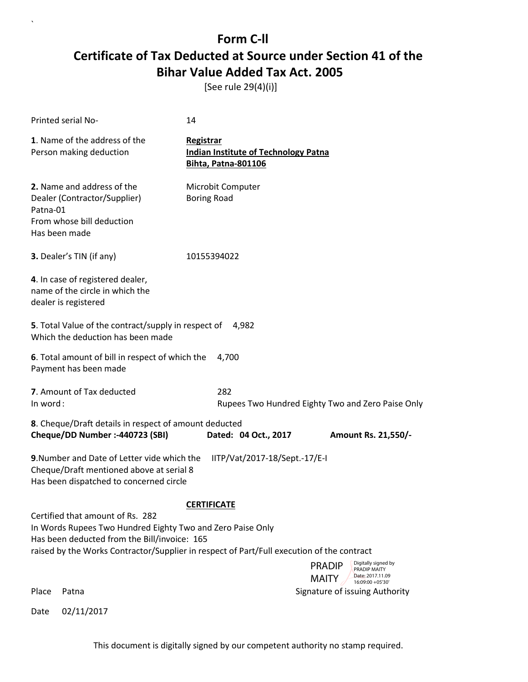[See rule 29(4)(i)]

| Printed serial No-                                                                                                                                                                                                                                                                                        | 14                                                                                                     |  |  |  |  |
|-----------------------------------------------------------------------------------------------------------------------------------------------------------------------------------------------------------------------------------------------------------------------------------------------------------|--------------------------------------------------------------------------------------------------------|--|--|--|--|
| 1. Name of the address of the<br>Person making deduction                                                                                                                                                                                                                                                  | Registrar<br><b>Indian Institute of Technology Patna</b><br><b>Bihta, Patna-801106</b>                 |  |  |  |  |
| 2. Name and address of the<br>Dealer (Contractor/Supplier)<br>Patna-01<br>From whose bill deduction<br>Has been made                                                                                                                                                                                      | Microbit Computer<br><b>Boring Road</b>                                                                |  |  |  |  |
| 3. Dealer's TIN (if any)                                                                                                                                                                                                                                                                                  | 10155394022                                                                                            |  |  |  |  |
| 4. In case of registered dealer,<br>name of the circle in which the<br>dealer is registered                                                                                                                                                                                                               |                                                                                                        |  |  |  |  |
| 5. Total Value of the contract/supply in respect of<br>4,982<br>Which the deduction has been made                                                                                                                                                                                                         |                                                                                                        |  |  |  |  |
| 6. Total amount of bill in respect of which the<br>4,700<br>Payment has been made                                                                                                                                                                                                                         |                                                                                                        |  |  |  |  |
| 7. Amount of Tax deducted<br>In word:                                                                                                                                                                                                                                                                     | 282<br>Rupees Two Hundred Eighty Two and Zero Paise Only                                               |  |  |  |  |
| 8. Cheque/Draft details in respect of amount deducted<br>Cheque/DD Number :- 440723 (SBI)                                                                                                                                                                                                                 | Dated: 04 Oct., 2017<br>Amount Rs. 21,550/-                                                            |  |  |  |  |
| 9. Number and Date of Letter vide which the<br>IITP/Vat/2017-18/Sept.-17/E-I<br>Cheque/Draft mentioned above at serial 8<br>Has been dispatched to concerned circle                                                                                                                                       |                                                                                                        |  |  |  |  |
| <b>CERTIFICATE</b><br>Certified that amount of Rs. 282<br>In Words Rupees Two Hundred Eighty Two and Zero Paise Only<br>Has been deducted from the Bill/invoice: 165<br>raised by the Works Contractor/Supplier in respect of Part/Full execution of the contract<br>Digitally signed by<br><b>PRADIP</b> |                                                                                                        |  |  |  |  |
| Place<br>Patna                                                                                                                                                                                                                                                                                            | PRADIP MAITY<br>Date: 2017.11.09<br><b>MAITY</b><br>16:09:00 +05'30'<br>Signature of issuing Authority |  |  |  |  |
| 02/11/2017<br>Date                                                                                                                                                                                                                                                                                        |                                                                                                        |  |  |  |  |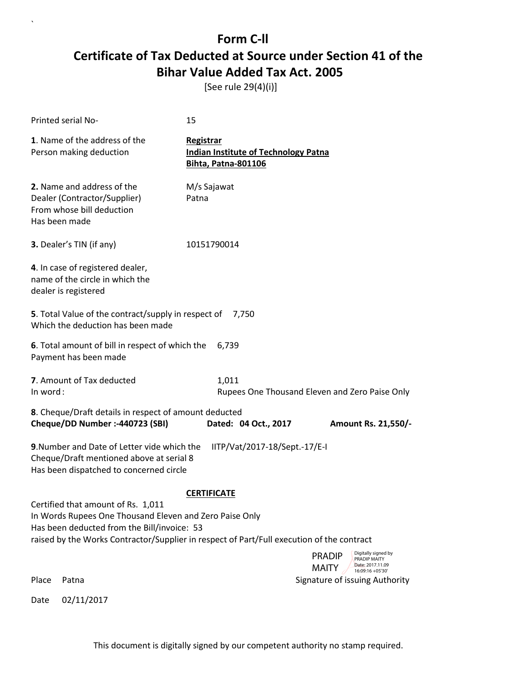[See rule 29(4)(i)]

|          | Printed serial No-                                                                                                                                                                                                                        | 15                   |                                                                           |                               |                                                         |
|----------|-------------------------------------------------------------------------------------------------------------------------------------------------------------------------------------------------------------------------------------------|----------------------|---------------------------------------------------------------------------|-------------------------------|---------------------------------------------------------|
|          | 1. Name of the address of the<br>Person making deduction                                                                                                                                                                                  | Registrar            | <b>Indian Institute of Technology Patna</b><br><b>Bihta, Patna-801106</b> |                               |                                                         |
|          | 2. Name and address of the<br>Dealer (Contractor/Supplier)<br>From whose bill deduction<br>Has been made                                                                                                                                  | M/s Sajawat<br>Patna |                                                                           |                               |                                                         |
|          | 3. Dealer's TIN (if any)                                                                                                                                                                                                                  | 10151790014          |                                                                           |                               |                                                         |
|          | 4. In case of registered dealer,<br>name of the circle in which the<br>dealer is registered                                                                                                                                               |                      |                                                                           |                               |                                                         |
|          | 5. Total Value of the contract/supply in respect of<br>Which the deduction has been made                                                                                                                                                  |                      | 7,750                                                                     |                               |                                                         |
|          | 6. Total amount of bill in respect of which the<br>Payment has been made                                                                                                                                                                  |                      | 6,739                                                                     |                               |                                                         |
| In word: | 7. Amount of Tax deducted                                                                                                                                                                                                                 |                      | 1,011<br>Rupees One Thousand Eleven and Zero Paise Only                   |                               |                                                         |
|          | 8. Cheque/Draft details in respect of amount deducted<br>Cheque/DD Number :- 440723 (SBI)                                                                                                                                                 |                      | Dated: 04 Oct., 2017                                                      |                               | Amount Rs. 21,550/-                                     |
|          | 9. Number and Date of Letter vide which the<br>Cheque/Draft mentioned above at serial 8<br>Has been dispatched to concerned circle                                                                                                        |                      | IITP/Vat/2017-18/Sept.-17/E-I                                             |                               |                                                         |
|          |                                                                                                                                                                                                                                           | <b>CERTIFICATE</b>   |                                                                           |                               |                                                         |
|          | Certified that amount of Rs. 1,011<br>In Words Rupees One Thousand Eleven and Zero Paise Only<br>Has been deducted from the Bill/invoice: 53<br>raised by the Works Contractor/Supplier in respect of Part/Full execution of the contract |                      |                                                                           |                               |                                                         |
|          |                                                                                                                                                                                                                                           |                      |                                                                           | <b>PRADIP</b><br><b>MAITY</b> | Digitally signed by<br>PRADIP MAITY<br>Date: 2017.11.09 |
| Place    | Patna                                                                                                                                                                                                                                     |                      |                                                                           |                               | 16:09:16 +05'30'<br>Signature of issuing Authority      |
| Date     | 02/11/2017                                                                                                                                                                                                                                |                      |                                                                           |                               |                                                         |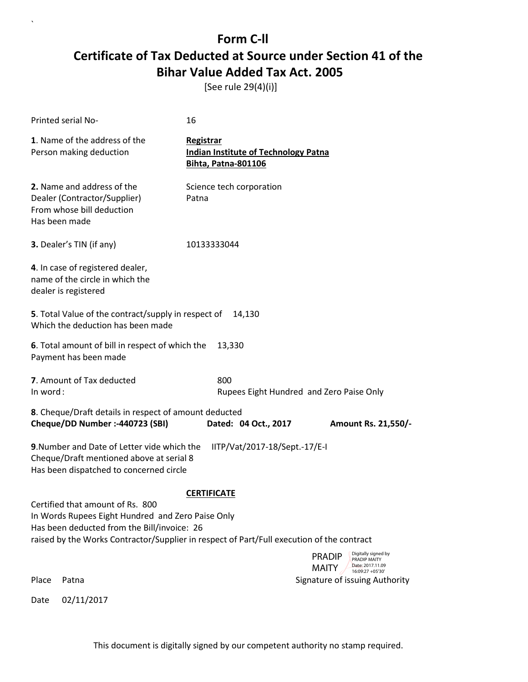[See rule 29(4)(i)]

|          | Printed serial No-                                                                                                                                                                                                                | 16                                                                                            |                                                                                                              |
|----------|-----------------------------------------------------------------------------------------------------------------------------------------------------------------------------------------------------------------------------------|-----------------------------------------------------------------------------------------------|--------------------------------------------------------------------------------------------------------------|
|          | 1. Name of the address of the<br>Person making deduction                                                                                                                                                                          | <b>Registrar</b><br><b>Indian Institute of Technology Patna</b><br><b>Bihta, Patna-801106</b> |                                                                                                              |
|          | 2. Name and address of the<br>Dealer (Contractor/Supplier)<br>From whose bill deduction<br>Has been made                                                                                                                          | Science tech corporation<br>Patna                                                             |                                                                                                              |
|          | 3. Dealer's TIN (if any)                                                                                                                                                                                                          | 10133333044                                                                                   |                                                                                                              |
|          | 4. In case of registered dealer,<br>name of the circle in which the<br>dealer is registered                                                                                                                                       |                                                                                               |                                                                                                              |
|          | 5. Total Value of the contract/supply in respect of<br>Which the deduction has been made                                                                                                                                          | 14,130                                                                                        |                                                                                                              |
|          | 6. Total amount of bill in respect of which the<br>Payment has been made                                                                                                                                                          | 13,330                                                                                        |                                                                                                              |
| In word: | 7. Amount of Tax deducted                                                                                                                                                                                                         | 800                                                                                           | Rupees Eight Hundred and Zero Paise Only                                                                     |
|          | 8. Cheque/Draft details in respect of amount deducted<br>Cheque/DD Number :- 440723 (SBI)                                                                                                                                         | Dated: 04 Oct., 2017                                                                          | Amount Rs. 21,550/-                                                                                          |
|          | 9. Number and Date of Letter vide which the<br>Cheque/Draft mentioned above at serial 8<br>Has been dispatched to concerned circle                                                                                                | IITP/Vat/2017-18/Sept.-17/E-I                                                                 |                                                                                                              |
|          |                                                                                                                                                                                                                                   | <b>CERTIFICATE</b>                                                                            |                                                                                                              |
|          | Certified that amount of Rs. 800<br>In Words Rupees Eight Hundred and Zero Paise Only<br>Has been deducted from the Bill/invoice: 26<br>raised by the Works Contractor/Supplier in respect of Part/Full execution of the contract |                                                                                               |                                                                                                              |
|          |                                                                                                                                                                                                                                   |                                                                                               | Digitally signed by<br><b>PRADIP</b><br>PRADIP MAITY<br>Date: 2017.11.09<br><b>MAITY</b><br>16:09:27 +05'30' |
| Place    | Patna                                                                                                                                                                                                                             |                                                                                               | Signature of issuing Authority                                                                               |
| Date     | 02/11/2017                                                                                                                                                                                                                        |                                                                                               |                                                                                                              |